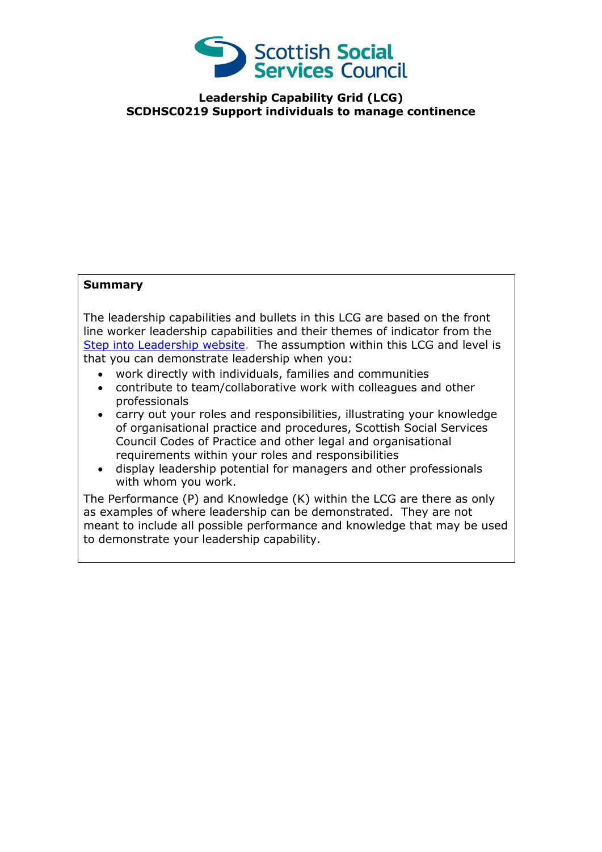

**Leadership Capability Grid (LCG) SCDHSC0219 Support individuals to manage continence**

## **Summary**

The leadership capabilities and bullets in this LCG are based on the front line worker leadership capabilities and their themes of indicator from the [Step into Leadership website.](http://www.stepintoleadership.info/) The assumption within this LCG and level is that you can demonstrate leadership when you:

- work directly with individuals, families and communities
- contribute to team/collaborative work with colleagues and other professionals
- carry out your roles and responsibilities, illustrating your knowledge of organisational practice and procedures, Scottish Social Services Council Codes of Practice and other legal and organisational requirements within your roles and responsibilities
- display leadership potential for managers and other professionals with whom you work.

The Performance (P) and Knowledge (K) within the LCG are there as only as examples of where leadership can be demonstrated. They are not meant to include all possible performance and knowledge that may be used to demonstrate your leadership capability.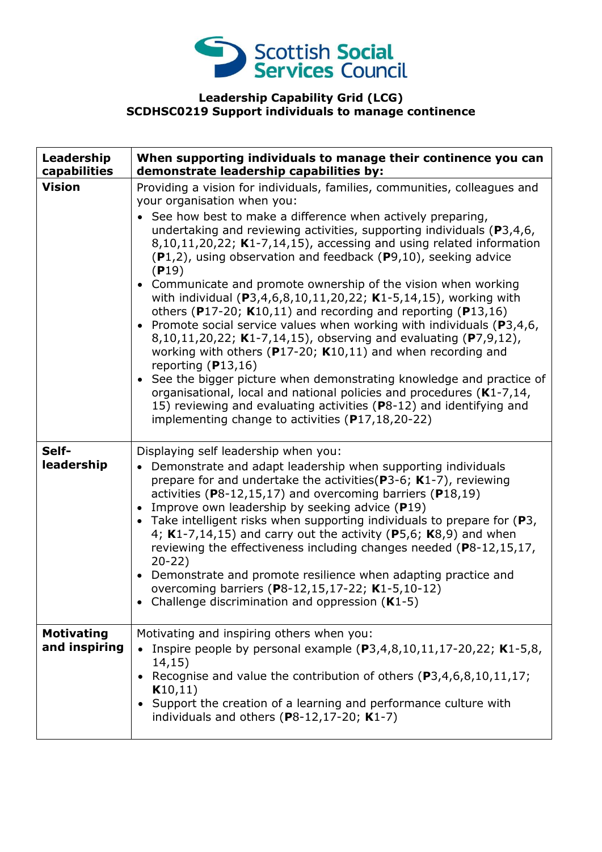

## **Leadership Capability Grid (LCG) SCDHSC0219 Support individuals to manage continence**

| Leadership<br>capabilities         | When supporting individuals to manage their continence you can<br>demonstrate leadership capabilities by:                                                                                                                                                                                                                                                                                                                                                                                                                                                                                                                                                                                                                                                                                                                                                                                                                                                                                                                                                                                                                                       |
|------------------------------------|-------------------------------------------------------------------------------------------------------------------------------------------------------------------------------------------------------------------------------------------------------------------------------------------------------------------------------------------------------------------------------------------------------------------------------------------------------------------------------------------------------------------------------------------------------------------------------------------------------------------------------------------------------------------------------------------------------------------------------------------------------------------------------------------------------------------------------------------------------------------------------------------------------------------------------------------------------------------------------------------------------------------------------------------------------------------------------------------------------------------------------------------------|
| <b>Vision</b>                      | Providing a vision for individuals, families, communities, colleagues and<br>your organisation when you:<br>See how best to make a difference when actively preparing,<br>undertaking and reviewing activities, supporting individuals ( $P3,4,6$ ,<br>$8,10,11,20,22$ ; K1-7,14,15), accessing and using related information<br>$(P1,2)$ , using observation and feedback $(P9,10)$ , seeking advice<br>(P19)<br>• Communicate and promote ownership of the vision when working<br>with individual (P3,4,6,8,10,11,20,22; K1-5,14,15), working with<br>others (P17-20; $K10,11$ ) and recording and reporting (P13,16)<br>• Promote social service values when working with individuals ( $P3,4,6$ ,<br>8,10,11,20,22; K1-7,14,15), observing and evaluating (P7,9,12),<br>working with others ( $P17-20$ ; K10,11) and when recording and<br>reporting $(P13,16)$<br>• See the bigger picture when demonstrating knowledge and practice of<br>organisational, local and national policies and procedures (K1-7,14,<br>15) reviewing and evaluating activities (P8-12) and identifying and<br>implementing change to activities (P17,18,20-22) |
| Self-<br>leadership                | Displaying self leadership when you:<br>Demonstrate and adapt leadership when supporting individuals<br>$\bullet$<br>prepare for and undertake the activities ( $P3-6$ ; K1-7), reviewing<br>activities ( $P8-12,15,17$ ) and overcoming barriers ( $P18,19$ )<br>Improve own leadership by seeking advice (P19)<br>• Take intelligent risks when supporting individuals to prepare for (P3,<br>4; $K1-7,14,15$ ) and carry out the activity (P5,6; $K8,9$ ) and when<br>reviewing the effectiveness including changes needed (P8-12,15,17,<br>$20 - 22$<br>• Demonstrate and promote resilience when adapting practice and<br>overcoming barriers (P8-12,15,17-22; K1-5,10-12)<br>Challenge discrimination and oppression $(K1-5)$                                                                                                                                                                                                                                                                                                                                                                                                             |
| <b>Motivating</b><br>and inspiring | Motivating and inspiring others when you:<br>Inspire people by personal example $(P3,4,8,10,11,17-20,22; K1-5,8,$<br>14,15)<br>• Recognise and value the contribution of others $(P3, 4, 6, 8, 10, 11, 17)$ ;<br>K10,11)<br>• Support the creation of a learning and performance culture with<br>individuals and others ( $P8-12,17-20$ ; K1-7)                                                                                                                                                                                                                                                                                                                                                                                                                                                                                                                                                                                                                                                                                                                                                                                                 |